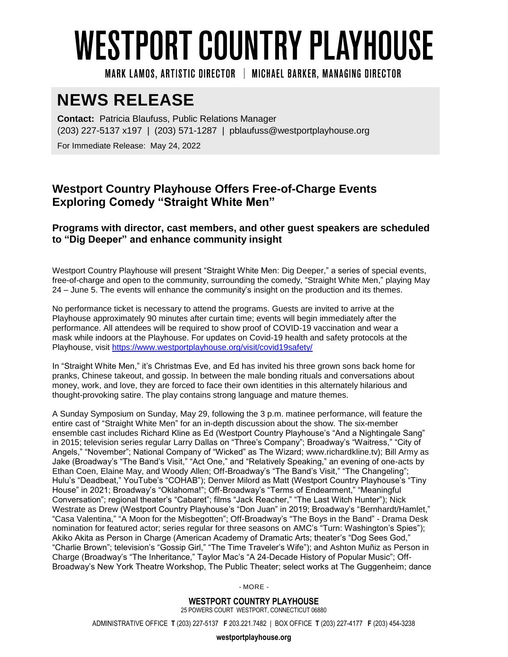# **WESTPORT COUNTRY PLAYHOUSE**

MARK LAMOS. ARTISTIC DIRECTOR | MICHAEL BARKER. MANAGING DIRECTOR

## **NEWS RELEASE**

**Contact:** Patricia Blaufuss, Public Relations Manager (203) 227-5137 x197 | (203) 571-1287 | pblaufuss@westportplayhouse.org

For Immediate Release: May 24, 2022

### **Westport Country Playhouse Offers Free-of-Charge Events Exploring Comedy "Straight White Men"**

#### **Programs with director, cast members, and other guest speakers are scheduled to "Dig Deeper" and enhance community insight**

Westport Country Playhouse will present "Straight White Men: Dig Deeper," a series of special events, free-of-charge and open to the community, surrounding the comedy, "Straight White Men," playing May 24 – June 5. The events will enhance the community's insight on the production and its themes.

No performance ticket is necessary to attend the programs. Guests are invited to arrive at the Playhouse approximately 90 minutes after curtain time; events will begin immediately after the performance. All attendees will be required to show proof of COVID-19 vaccination and wear a mask while indoors at the Playhouse. For updates on Covid-19 health and safety protocols at the Playhouse, visit<https://www.westportplayhouse.org/visit/covid19safety/>

In "Straight White Men," it's Christmas Eve, and Ed has invited his three grown sons back home for pranks, Chinese takeout, and gossip. In between the male bonding rituals and conversations about money, work, and love, they are forced to face their own identities in this alternately hilarious and thought-provoking satire. The play contains strong language and mature themes.

A Sunday Symposium on Sunday, May 29, following the 3 p.m. matinee performance, will feature the entire cast of "Straight White Men" for an in-depth discussion about the show. The six-member ensemble cast includes Richard Kline as Ed (Westport Country Playhouse's "And a Nightingale Sang" in 2015; television series regular Larry Dallas on "Three's Company"; Broadway's "Waitress," "City of Angels," "November"; National Company of "Wicked" as The Wizard; [www.richardkline.tv\)](http://www.richardkline.tv/); Bill Army as Jake (Broadway's "The Band's Visit," "Act One," and "Relatively Speaking," an evening of one-acts by Ethan Coen, Elaine May, and Woody Allen; Off-Broadway's "The Band's Visit," "The Changeling"; Hulu's "Deadbeat," YouTube's "COHAB"); [Denver Milord](https://www.broadwayworld.com/people/Denver-Milord/) as Matt (Westport Country Playhouse's "Tiny House" in 2021; Broadway's "Oklahoma!"; Off-Broadway's "Terms of Endearment," "Meaningful Conversation"; regional theater's "Cabaret"; films "Jack Reacher," "The Last Witch Hunter"); Nick Westrate as Drew (Westport Country Playhouse's "Don Juan" in 2019; Broadway's "Bernhardt/Hamlet," "Casa Valentina," "A Moon for the Misbegotten"; Off-Broadway's "The Boys in the Band" - Drama Desk nomination for featured actor; series regular for three seasons on AMC's "Turn: Washington's Spies"); Akiko Akita as Person in Charge (American Academy of Dramatic Arts; theater's "Dog Sees God," "Charlie Brown"; television's "Gossip Girl," "The Time Traveler's Wife"); and Ashton Muñiz as Person in Charge (Broadway's "The Inheritance," Taylor Mac's "A 24-Decade History of Popular Music"; Off-Broadway's New York Theatre Workshop, The Public Theater; select works at The Guggenheim; dance

- MORE -

**WESTPORT COUNTRY PLAYHOUSE** 25 POWERS COURT WESTPORT, CONNECTICUT 06880

ADMINISTRATIVE OFFICE **T** (203) 227-5137 **F** 203.221.7482 | BOX OFFICE **T** (203) 227-4177 **F** (203) 454-3238

**westportplayhouse.org**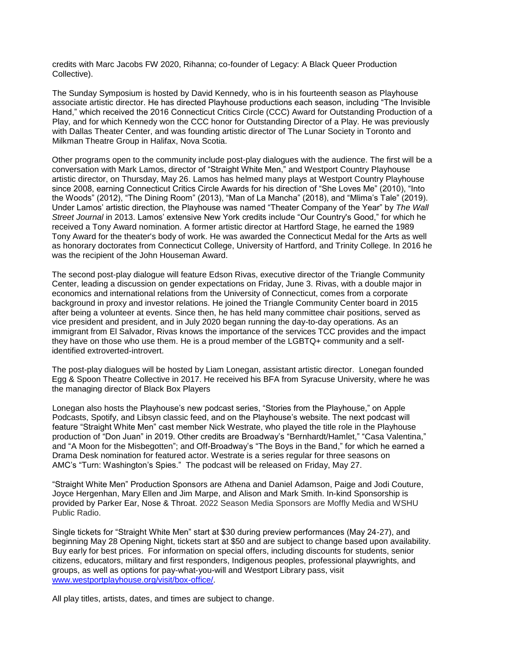credits with Marc Jacobs FW 2020, Rihanna; co-founder of Legacy: A Black Queer Production Collective).

The Sunday Symposium is hosted by David Kennedy, who is in his fourteenth season as Playhouse associate artistic director. He has directed Playhouse productions each season, including "The Invisible Hand," which received the 2016 Connecticut Critics Circle (CCC) Award for Outstanding Production of a Play, and for which Kennedy won the CCC honor for Outstanding Director of a Play. He was previously with Dallas Theater Center, and was founding artistic director of The Lunar Society in Toronto and Milkman Theatre Group in Halifax, Nova Scotia.

Other programs open to the community include post-play dialogues with the audience. The first will be a conversation with Mark Lamos, director of "Straight White Men," and Westport Country Playhouse artistic director, on Thursday, May 26. Lamos has helmed many plays at Westport Country Playhouse since 2008, earning Connecticut Critics Circle Awards for his direction of "She Loves Me" (2010), "Into the Woods" (2012), "The Dining Room" (2013), "Man of La Mancha" (2018), and "Mlima's Tale" (2019). Under Lamos' artistic direction, the Playhouse was named "Theater Company of the Year" by *The Wall Street Journal* in 2013. Lamos' extensive New York credits include "Our Country's Good," for which he received a Tony Award nomination. A former artistic director at Hartford Stage, he earned the 1989 Tony Award for the theater's body of work. He was awarded the Connecticut Medal for the Arts as well as honorary doctorates from Connecticut College, University of Hartford, and Trinity College. In 2016 he was the recipient of the John Houseman Award.

The second post-play dialogue will feature Edson Rivas, executive director of the Triangle Community Center, leading a discussion on gender expectations on Friday, June 3. Rivas, with a double major in economics and international relations from the University of Connecticut, comes from a corporate background in proxy and investor relations. He joined the Triangle Community Center board in 2015 after being a volunteer at events. Since then, he has held many committee chair positions, served as vice president and president, and in July 2020 began running the day-to-day operations. As an immigrant from El Salvador, Rivas knows the importance of the services TCC provides and the impact they have on those who use them. He is a proud member of the LGBTQ+ community and a selfidentified extroverted-introvert.

The post-play dialogues will be hosted by Liam Lonegan, assistant artistic director. Lonegan founded Egg & Spoon Theatre Collective in 2017. He received his BFA from Syracuse University, where he was the managing director of Black Box Players

Lonegan also hosts the Playhouse's new podcast series, "Stories from the Playhouse," on Apple Podcasts, Spotify, and Libsyn classic feed, and on the Playhouse's website. The next podcast will feature "Straight White Men" cast member Nick Westrate, who played the title role in the Playhouse production of "Don Juan" in 2019. Other credits are Broadway's "Bernhardt/Hamlet," "Casa Valentina," and "A Moon for the Misbegotten"; and Off-Broadway's "The Boys in the Band," for which he earned a Drama Desk nomination for featured actor. Westrate is a series regular for three seasons on AMC's "Turn: Washington's Spies." The podcast will be released on Friday, May 27.

"Straight White Men" Production Sponsors are Athena and Daniel Adamson, Paige and Jodi Couture, Joyce Hergenhan, Mary Ellen and Jim Marpe, and Alison and Mark Smith. In-kind Sponsorship is provided by Parker Ear, Nose & Throat. 2022 Season Media Sponsors are Moffly Media and WSHU Public Radio.

Single tickets for "Straight White Men" start at \$30 during preview performances (May 24-27), and beginning May 28 Opening Night, tickets start at \$50 and are subject to change based upon availability. Buy early for best prices. For information on special offers, including discounts for students, senior citizens, educators, military and first responders, Indigenous peoples, professional playwrights, and groups, as well as options for pay-what-you-will and Westport Library pass, visit [www.westportplayhouse.org/visit/box-office/.](http://www.westportplayhouse.org/visit/box-office/)

All play titles, artists, dates, and times are subject to change.